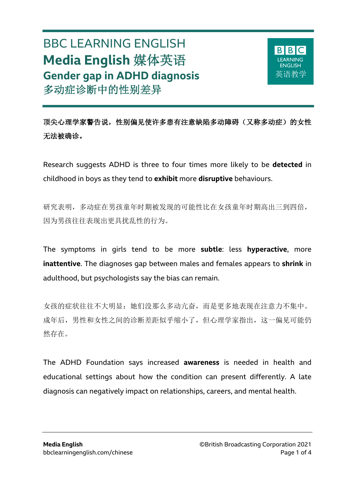# BBC LEARNING ENGLISH **Media English** 媒体英语 **Gender gap in ADHD diagnosis** 多动症诊断中的性别差异

 $\overline{a}$ 



顶尖心理学家警告说,性别偏见使许多患有注意缺陷多动障碍(又称多动症)的女性 无法被确诊。

Research suggests ADHD is three to four times more likely to be **detected** in childhood in boys as they tend to **exhibit** more **disruptive** behaviours.

研究表明,多动症在男孩童年时期被发现的可能性比在女孩童年时期高出三到四倍, 因为男孩往往表现出更具扰乱性的行为。

The symptoms in girls tend to be more **subtle**: less **hyperactive**, more **inattentive**. The diagnoses gap between males and females appears to **shrink** in adulthood, but psychologists say the bias can remain.

女孩的症状往往不大明显:她们没那么多动亢奋,而是更多地表现在注意力不集中。 成年后,男性和女性之间的诊断差距似乎缩小了,但心理学家指出,这一偏见可能仍 然存在。

The ADHD Foundation says increased **awareness** is needed in health and educational settings about how the condition can present differently. A late diagnosis can negatively impact on relationships, careers, and mental health.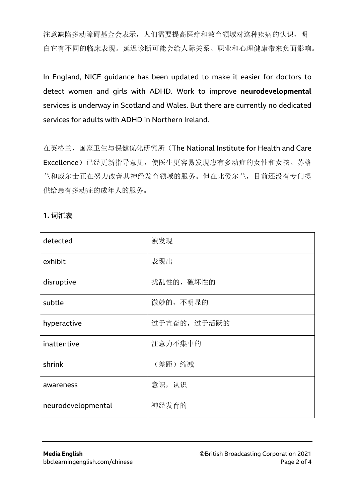注意缺陷多动障碍基金会表示,人们需要提高医疗和教育领域对这种疾病的认识,明 白它有不同的临床表现。延迟诊断可能会给人际关系、职业和心理健康带来负面影响。

In England, NICE guidance has been updated to make it easier for doctors to detect women and girls with ADHD. Work to improve **neurodevelopmental** services is underway in Scotland and Wales. But there are currently no dedicated services for adults with ADHD in Northern Ireland.

在英格兰, 国家卫生与保健优化研究所(The National Institute for Health and Care Excellence)已经更新指导意见,使医生更容易发现患有多动症的女性和女孩。苏格 兰和威尔士正在努力改善其神经发育领域的服务。但在北爱尔兰,目前还没有专门提 供给患有多动症的成年人的服务。

| detected           | 被发现          |
|--------------------|--------------|
| exhibit            | 表现出          |
| disruptive         | 扰乱性的,破坏性的    |
| subtle             | 微妙的,不明显的     |
| hyperactive        | 过于亢奋的, 过于活跃的 |
| inattentive        | 注意力不集中的      |
| shrink             | (差距)缩减       |
| awareness          | 意识,认识        |
| neurodevelopmental | 神经发育的        |

#### **1.** 词汇表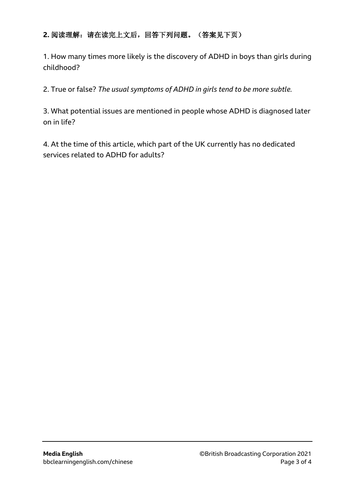#### **2.** 阅读理解:请在读完上文后,回答下列问题。(答案见下页)

1. How many times more likely is the discovery of ADHD in boys than girls during childhood?

2. True or false? *The usual symptoms of ADHD in girls tend to be more subtle.*

3. What potential issues are mentioned in people whose ADHD is diagnosed later on in life?

4. At the time of this article, which part of the UK currently has no dedicated services related to ADHD for adults?